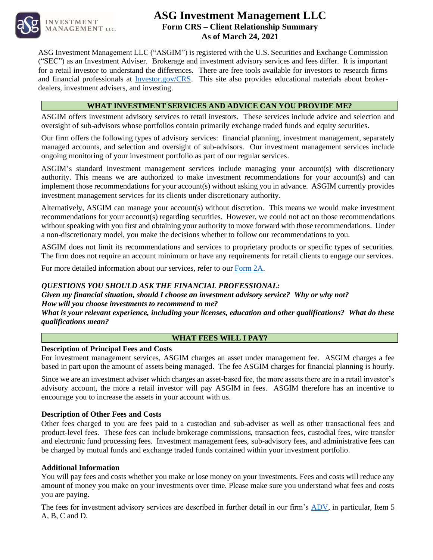

**INVESTMENT MANAGEMENT LLC.** 

# **ASG Investment Management LLC Form CRS – Client Relationship Summary As of March 24, 2021**

ASG Investment Management LLC ("ASGIM") is registered with the [U.S. Securities and Exchange Commission](https://www.sec.gov/)  [\("SEC"\)](https://www.sec.gov/) as an Investment Adviser. Brokerage and investment advisory services and fees differ. It is important for a retail investor to understand the differences. There are free tools available for investors to research firms and financial professionals at **Investor.gov/CRS**. This site also provides educational materials about brokerdealers, investment advisers, and investing.

# <span id="page-0-0"></span>**WHAT INVESTMENT SERVICES AND ADVICE CAN YOU PROVIDE ME?**

ASGIM offers investment advisory services to retail investors. These services include advice and selection and oversight of sub-advisors whose portfolios contain primarily exchange traded funds and equity securities.

Our firm offers the following types of advisory services: [financial planning,](#page-0-0) investment management, separately managed accounts, and selection and oversight of sub-advisors. Our investment management services include ongoing monitoring of your investment portfolio as part of our regular services.

ASGIM's standard investment management services include managing your account(s) with discretionary authority. This means we are authorized to make investment recommendations for your account(s) and can implement those recommendations for your account(s) without asking you in advance. ASGIM currently provides investment management services for its clients under discretionary authority.

Alternatively, ASGIM can manage your account(s) without discretion. This means we would make investment recommendations for your account(s) regarding securities. However, we could not act on those recommendations without speaking with you first and obtaining your authority to move forward with those recommendations. Under a non-discretionary model, you make the decisions whether to follow our recommendations to you.

ASGIM does not limit its recommendations and services to proprietary products or specific types of securities. The firm does not require an account minimum or have any requirements for retail clients to engage our services.

For more detailed information about our services, refer to our [Form 2A.](https://adviserinfo.sec.gov/firm/brochure/292445)

## *QUESTIONS YOU SHOULD ASK THE FINANCIAL PROFESSIONAL:*

*Given my financial situation, should I choose an investment advisory service? Why or why not? How will you choose investments to recommend to me?*

*What is your relevant experience, including your licenses, education and other qualifications? What do these qualifications mean?*

## <span id="page-0-2"></span><span id="page-0-1"></span>**WHAT FEES WILL I PAY?**

## **Description of Principal Fees and Costs**

For investment management services, ASGIM charges an asset under management fee. ASGIM charges a fee based in part upon the amount of assets being managed. The fee ASGIM charges for financial planning is hourly.

Since we are an investment adviser which charges an asset-based fee, the more assets there are in a retail investor's advisory account, the more a retail investor will pay ASGIM in fees. ASGIM therefore has an incentive to encourage you to increase the assets in your account with us.

## **Description of Other Fees and Costs**

<span id="page-0-3"></span>Other fees charged to you are fees paid to a [custodian](#page-0-1) and sub-adviser as well as other [transactional](#page-0-2) fees and [product-level](#page-0-3) fees. These fees can include brokerage commissions, transaction fees, custodial fees, wire transfer and electronic fund processing fees. Investment management fees, sub-advisory fees, and administrative fees can be charged by mutual funds and exchange traded funds contained within your investment portfolio.

#### **Additional Information**

You will pay fees and costs whether you make or lose money on your investments. Fees and costs will reduce any amount of money you make on your investments over time. Please make sure you understand what fees and costs you are paying.

The fees for investment advisory services are described in further detail in our firm's [ADV,](https://adviserinfo.sec.gov/firm/brochure/292445) in particular, Item 5 A, B, C and D.